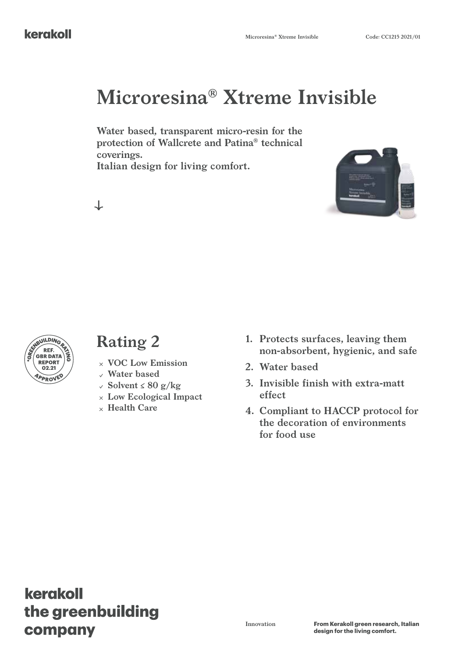# **Microresina® Xtreme Invisible**

**Water based, transparent micro-resin for the protection of Wallcrete and Patina® technical coverings. Italian design for living comfort.**





↓

- **VOC Low Emission**
- **Water based**
- **Solvent ≤ 80 g/kg**
- **Low Ecological Impact**
- **Health Care**
- **Rating 2 1. Protects surfaces, leaving them non-absorbent, hygienic, and safe**
	- **2. Water based**
	- **3. Invisible finish with extra-matt effect**
	- **4. Compliant to HACCP protocol for the decoration of environments for food use**

## kerakoll the greenbuilding company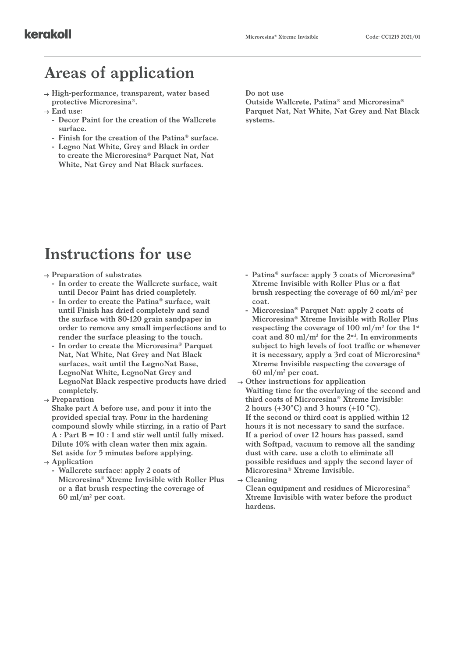#### **Areas of application**

- **High-performance, transparent, water based protective Microresina®.**
- **End use:**
	- **- Decor Paint for the creation of the Wallcrete surface.**
	- **- Finish for the creation of the Patina® surface.**
	- **- Legno Nat White, Grey and Black in order to create the Microresina® Parquet Nat, Nat White, Nat Grey and Nat Black surfaces.**

**Do not use**

**Outside Wallcrete, Patina® and Microresina® Parquet Nat, Nat White, Nat Grey and Nat Black systems.**

# **Instructions for use**

- **Preparation of substrates**
	- **- In order to create the Wallcrete surface, wait until Decor Paint has dried completely.**
	- **- In order to create the Patina® surface, wait until Finish has dried completely and sand the surface with 80-120 grain sandpaper in order to remove any small imperfections and to render the surface pleasing to the touch.**
	- **- In order to create the Microresina® Parquet Nat, Nat White, Nat Grey and Nat Black surfaces, wait until the LegnoNat Base, LegnoNat White, LegnoNat Grey and LegnoNat Black respective products have dried completely.**
- **Preparation**
- **Shake part A before use, and pour it into the provided special tray. Pour in the hardening compound slowly while stirring, in a ratio of Part A : Part B = 10 : 1 and stir well until fully mixed. Dilute 10% with clean water then mix again. Set aside for 5 minutes before applying.**
- **Application**
	- **- Wallcrete surface: apply 2 coats of Microresina® Xtreme Invisible with Roller Plus or a flat brush respecting the coverage of**   $60 \text{ ml/m}^2$  per coat.
- **- Patina® surface: apply 3 coats of Microresina® Xtreme Invisible with Roller Plus or a flat brush respecting the coverage of 60 ml/m2 per coat.**
- **- Microresina® Parquet Nat: apply 2 coats of Microresina® Xtreme Invisible with Roller Plus respecting the coverage of 100 ml/m2 for the 1st coat and 80 ml/m2 for the 2nd. In environments subject to high levels of foot traffic or whenever it is necessary, apply a 3rd coat of Microresina® Xtreme Invisible respecting the coverage of 60 ml/m2 per coat.**
- **Other instructions for application Waiting time for the overlaying of the second and third coats of Microresina® Xtreme Invisible: 2 hours (+30°C) and 3 hours (+10 °C). If the second or third coat is applied within 12 hours it is not necessary to sand the surface. If a period of over 12 hours has passed, sand with Softpad, vacuum to remove all the sanding dust with care, use a cloth to eliminate all possible residues and apply the second layer of Microresina® Xtreme Invisible.**

**Clean equipment and residues of Microresina® Xtreme Invisible with water before the product hardens.**

**Cleaning**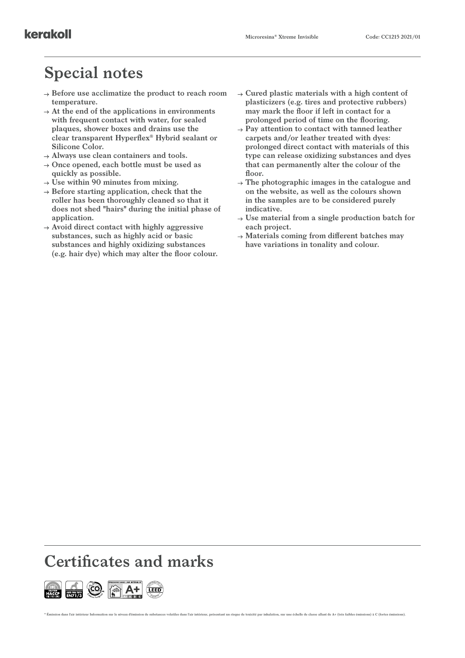### **Special notes**

- **Before use acclimatize the product to reach room temperature.**
- $\rightarrow$  At the end of the applications in environments **with frequent contact with water, for sealed plaques, shower boxes and drains use the clear transparent Hyperflex® Hybrid sealant or Silicone Color.**
- **Always use clean containers and tools.**
- **Once opened, each bottle must be used as quickly as possible.**
- **Use within 90 minutes from mixing.**
- **Before starting application, check that the roller has been thoroughly cleaned so that it does not shed "hairs" during the initial phase of application.**
- **Avoid direct contact with highly aggressive substances, such as highly acid or basic substances and highly oxidizing substances (e.g. hair dye) which may alter the floor colour.**
- $\rightarrow$  Cured plastic materials with a high content of **plasticizers (e.g. tires and protective rubbers) may mark the floor if left in contact for a prolonged period of time on the flooring.**
- **Pay attention to contact with tanned leather carpets and/or leather treated with dyes: prolonged direct contact with materials of this type can release oxidizing substances and dyes that can permanently alter the colour of the floor.**
- **The photographic images in the catalogue and on the website, as well as the colours shown in the samples are to be considered purely indicative.**
- **Use material from a single production batch for each project.**
- **Materials coming from different batches may have variations in tonality and colour.**

#### **Certificates and marks**

ur Information sur le niveau d'émission de substances volatiles dans l'air intérieur, présentant un risque de toxicité par inhalation, sur une échelle de classe allant de A+ (très faibles émissions) à C (fortes émis

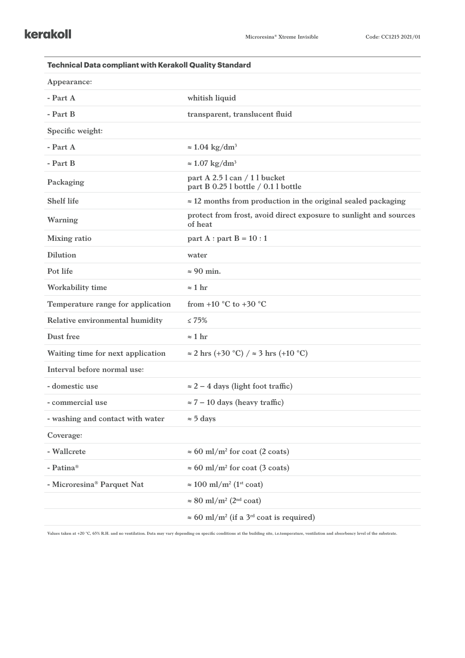| <b>Technical Data compliant with Kerakoll Quality Standard</b> |                                                                              |  |
|----------------------------------------------------------------|------------------------------------------------------------------------------|--|
| Appearance:                                                    |                                                                              |  |
| - Part A                                                       | whitish liquid                                                               |  |
| - Part B                                                       | transparent, translucent fluid                                               |  |
| Specific weight:                                               |                                                                              |  |
| $- Part A$                                                     | $\approx 1.04 \text{ kg/dm}^3$                                               |  |
| - Part B                                                       | $\approx 1.07 \text{ kg/dm}^3$                                               |  |
| Packaging                                                      | part A 2.5 $l$ can / 1 l bucket<br>part B 0.25 l bottle / 0.1 l bottle       |  |
| <b>Shelf life</b>                                              | $\approx$ 12 months from production in the original sealed packaging         |  |
| Warning                                                        | protect from frost, avoid direct exposure to sunlight and sources<br>of heat |  |
| <b>Mixing ratio</b>                                            | part A : part B = $10:1$                                                     |  |
| <b>Dilution</b>                                                | water                                                                        |  |
| Pot life                                                       | $\approx 90$ min.                                                            |  |
| Workability time                                               | $\approx$ 1 hr                                                               |  |
| Temperature range for application                              | from +10 $^{\circ}$ C to +30 $^{\circ}$ C                                    |  |
| Relative environmental humidity                                | $\leq 75\%$                                                                  |  |
| Dust free                                                      | $\approx$ 1 hr                                                               |  |
| Waiting time for next application                              | $\approx$ 2 hrs (+30 °C) / $\approx$ 3 hrs (+10 °C)                          |  |
| Interval before normal use:                                    |                                                                              |  |
| - domestic use                                                 | $\approx$ 2 – 4 days (light foot traffic)                                    |  |
| - commercial use                                               | $\approx$ 7 – 10 days (heavy traffic)                                        |  |
| - washing and contact with water                               | $\approx$ 5 days                                                             |  |
| Coverage:                                                      |                                                                              |  |
| - Wallcrete                                                    | $\approx 60$ ml/m <sup>2</sup> for coat (2 coats)                            |  |
| - Patina®                                                      | $\approx$ 60 ml/m <sup>2</sup> for coat (3 coats)                            |  |
| - Microresina <sup>®</sup> Parquet Nat                         | $\approx 100$ ml/m <sup>2</sup> (1 <sup>st</sup> coat)                       |  |
|                                                                | $\approx 80$ ml/m <sup>2</sup> (2 <sup>nd</sup> coat)                        |  |
|                                                                | $\approx$ 60 ml/m <sup>2</sup> (if a 3 <sup>rd</sup> coat is required)       |  |

**Values taken at +20 °C, 65% R.H. and no ventilation. Data may vary depending on specific conditions at the building site, i.e.temperature, ventilation and absorbency level of the substrate.**